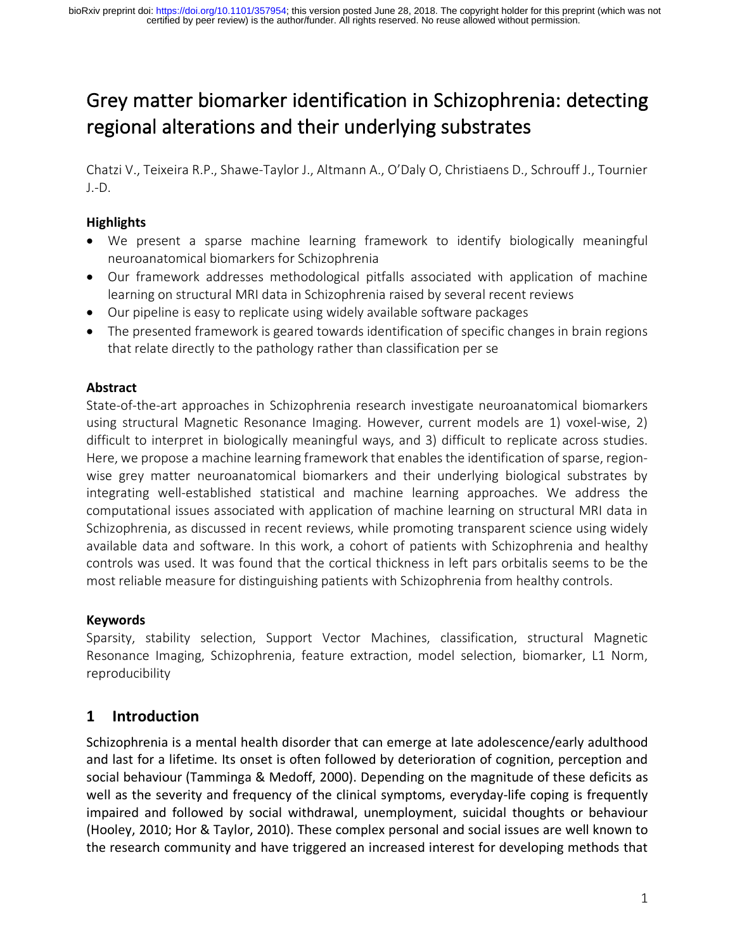# Grey matter biomarker identification in Schizophrenia: detecting regional alterations and their underlying substrates

Chatzi V., Teixeira R.P., Shawe-Taylor J., Altmann A., O'Daly O, Christiaens D., Schrouff J., Tournier J.-D.

## **Highlights**

- We present a sparse machine learning framework to identify biologically meaningful neuroanatomical biomarkers for Schizophrenia
- Our framework addresses methodological pitfalls associated with application of machine learning on structural MRI data in Schizophrenia raised by several recent reviews
- Our pipeline is easy to replicate using widely available software packages
- The presented framework is geared towards identification of specific changes in brain regions that relate directly to the pathology rather than classification per se

### **Abstract**

State-of-the-art approaches in Schizophrenia research investigate neuroanatomical biomarkers using structural Magnetic Resonance Imaging. However, current models are 1) voxel-wise, 2) difficult to interpret in biologically meaningful ways, and 3) difficult to replicate across studies. Here, we propose a machine learning framework that enables the identification of sparse, regionwise grey matter neuroanatomical biomarkers and their underlying biological substrates by integrating well-established statistical and machine learning approaches. We address the computational issues associated with application of machine learning on structural MRI data in Schizophrenia, as discussed in recent reviews, while promoting transparent science using widely available data and software. In this work, a cohort of patients with Schizophrenia and healthy controls was used. It was found that the cortical thickness in left pars orbitalis seems to be the most reliable measure for distinguishing patients with Schizophrenia from healthy controls.

#### **Keywords**

Sparsity, stability selection, Support Vector Machines, classification, structural Magnetic Resonance Imaging, Schizophrenia, feature extraction, model selection, biomarker, L1 Norm, reproducibility

# **1 Introduction**

Schizophrenia is a mental health disorder that can emerge at late adolescence/early adulthood and last for a lifetime. Its onset is often followed by deterioration of cognition, perception and social behaviour (Tamminga & Medoff, 2000). Depending on the magnitude of these deficits as well as the severity and frequency of the clinical symptoms, everyday-life coping is frequently impaired and followed by social withdrawal, unemployment, suicidal thoughts or behaviour (Hooley, 2010; Hor & Taylor, 2010). These complex personal and social issues are well known to the research community and have triggered an increased interest for developing methods that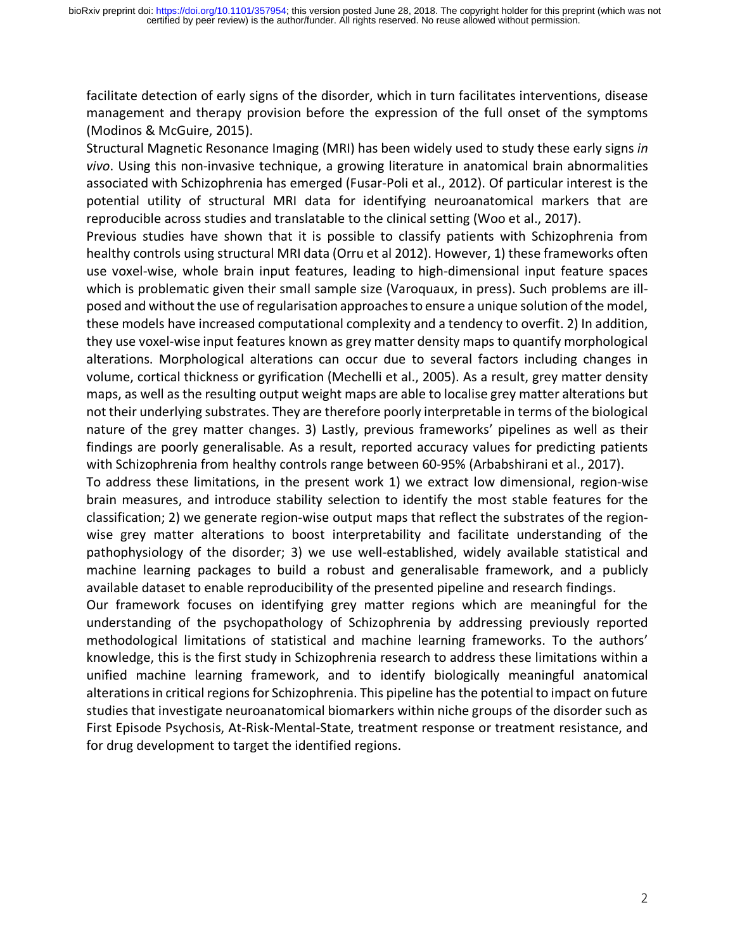facilitate detection of early signs of the disorder, which in turn facilitates interventions, disease management and therapy provision before the expression of the full onset of the symptoms (Modinos & McGuire, 2015).

Structural Magnetic Resonance Imaging (MRI) has been widely used to study these early signs *in vivo*. Using this non-invasive technique, a growing literature in anatomical brain abnormalities associated with Schizophrenia has emerged (Fusar-Poli et al., 2012). Of particular interest is the potential utility of structural MRI data for identifying neuroanatomical markers that are reproducible across studies and translatable to the clinical setting (Woo et al., 2017).

Previous studies have shown that it is possible to classify patients with Schizophrenia from healthy controls using structural MRI data (Orru et al 2012). However, 1) these frameworks often use voxel-wise, whole brain input features, leading to high-dimensional input feature spaces which is problematic given their small sample size (Varoquaux, in press). Such problems are illposed and without the use of regularisation approaches to ensure a unique solution of the model, these models have increased computational complexity and a tendency to overfit. 2) In addition, they use voxel-wise input features known as grey matter density maps to quantify morphological alterations. Morphological alterations can occur due to several factors including changes in volume, cortical thickness or gyrification (Mechelli et al., 2005). As a result, grey matter density maps, as well as the resulting output weight maps are able to localise grey matter alterations but not their underlying substrates. They are therefore poorly interpretable in terms of the biological nature of the grey matter changes. 3) Lastly, previous frameworks' pipelines as well as their findings are poorly generalisable. As a result, reported accuracy values for predicting patients with Schizophrenia from healthy controls range between 60-95% (Arbabshirani et al., 2017).

To address these limitations, in the present work 1) we extract low dimensional, region-wise brain measures, and introduce stability selection to identify the most stable features for the classification; 2) we generate region-wise output maps that reflect the substrates of the regionwise grey matter alterations to boost interpretability and facilitate understanding of the pathophysiology of the disorder; 3) we use well-established, widely available statistical and machine learning packages to build a robust and generalisable framework, and a publicly available dataset to enable reproducibility of the presented pipeline and research findings.

Our framework focuses on identifying grey matter regions which are meaningful for the understanding of the psychopathology of Schizophrenia by addressing previously reported methodological limitations of statistical and machine learning frameworks. To the authors' knowledge, this is the first study in Schizophrenia research to address these limitations within a unified machine learning framework, and to identify biologically meaningful anatomical alterations in critical regions for Schizophrenia. This pipeline has the potential to impact on future studies that investigate neuroanatomical biomarkers within niche groups of the disorder such as First Episode Psychosis, At-Risk-Mental-State, treatment response or treatment resistance, and for drug development to target the identified regions.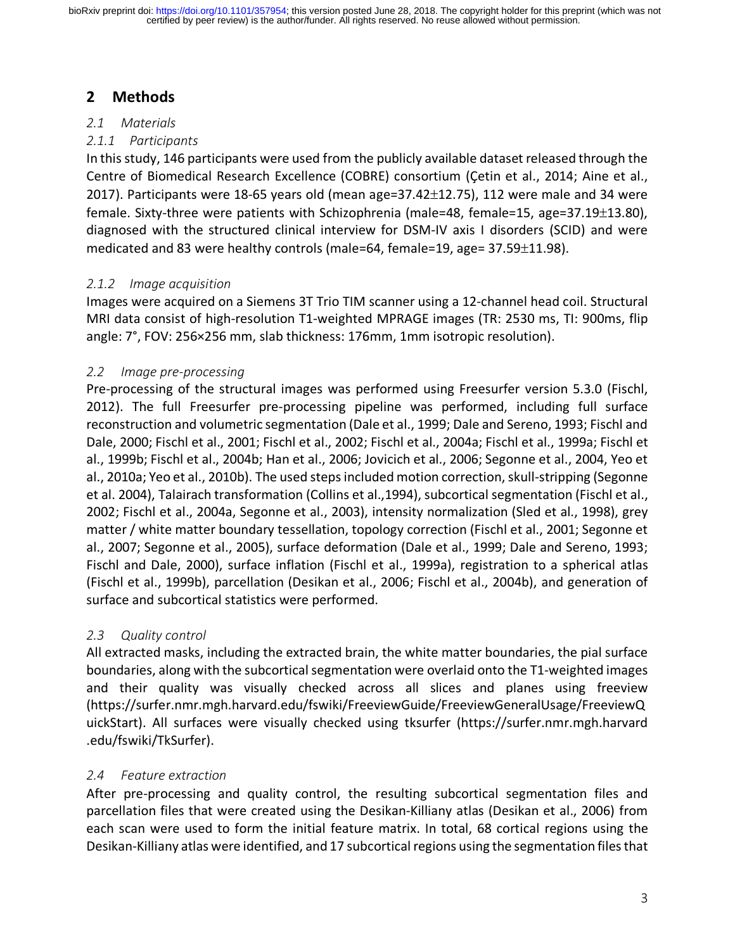# **2 Methods**

### *2.1 Materials*

## *2.1.1 Participants*

In this study, 146 participants were used from the publicly available dataset released through the Centre of Biomedical Research Excellence (COBRE) consortium (Çetin et al., 2014; Aine et al., 2017). Participants were 18-65 years old (mean age=37.42±12.75), 112 were male and 34 were female. Sixty-three were patients with Schizophrenia (male=48, female=15, age=37.19±13.80), diagnosed with the structured clinical interview for DSM-IV axis I disorders (SCID) and were medicated and 83 were healthy controls (male=64, female=19, age= 37.59±11.98).

## *2.1.2 Image acquisition*

Images were acquired on a Siemens 3T Trio TIM scanner using a 12-channel head coil. Structural MRI data consist of high-resolution T1-weighted MPRAGE images (TR: 2530 ms, TI: 900ms, flip angle: 7°, FOV: 256×256 mm, slab thickness: 176mm, 1mm isotropic resolution).

## *2.2 Image pre-processing*

Pre-processing of the structural images was performed using Freesurfer version 5.3.0 (Fischl, 2012). The full Freesurfer pre-processing pipeline was performed, including full surface reconstruction and volumetric segmentation (Dale et al., 1999; Dale and Sereno, 1993; Fischl and Dale, 2000; Fischl et al., 2001; Fischl et al., 2002; Fischl et al., 2004a; Fischl et al., 1999a; Fischl et al., 1999b; Fischl et al., 2004b; Han et al., 2006; Jovicich et al., 2006; Segonne et al., 2004, Yeo et al., 2010a; Yeo et al., 2010b). The used steps included motion correction, skull-stripping (Segonne et al. 2004), Talairach transformation (Collins et al.,1994), subcortical segmentation (Fischl et al., 2002; Fischl et al., 2004a, Segonne et al., 2003), intensity normalization (Sled et al., 1998), grey matter / white matter boundary tessellation, topology correction (Fischl et al., 2001; Segonne et al., 2007; Segonne et al., 2005), surface deformation (Dale et al., 1999; Dale and Sereno, 1993; Fischl and Dale, 2000), surface inflation (Fischl et al., 1999a), registration to a spherical atlas (Fischl et al., 1999b), parcellation (Desikan et al., 2006; Fischl et al., 2004b), and generation of surface and subcortical statistics were performed.

## *2.3 Quality control*

All extracted masks, including the extracted brain, the white matter boundaries, the pial surface boundaries, along with the subcortical segmentation were overlaid onto the T1-weighted images and their quality was visually checked across all slices and planes using freeview (https://surfer.nmr.mgh.harvard.edu/fswiki/FreeviewGuide/FreeviewGeneralUsage/FreeviewQ uickStart). All surfaces were visually checked using tksurfer (https://surfer.nmr.mgh.harvard .edu/fswiki/TkSurfer).

## *2.4 Feature extraction*

After pre-processing and quality control, the resulting subcortical segmentation files and parcellation files that were created using the Desikan-Killiany atlas (Desikan et al., 2006) from each scan were used to form the initial feature matrix. In total, 68 cortical regions using the Desikan-Killiany atlas were identified, and 17 subcortical regions using the segmentation files that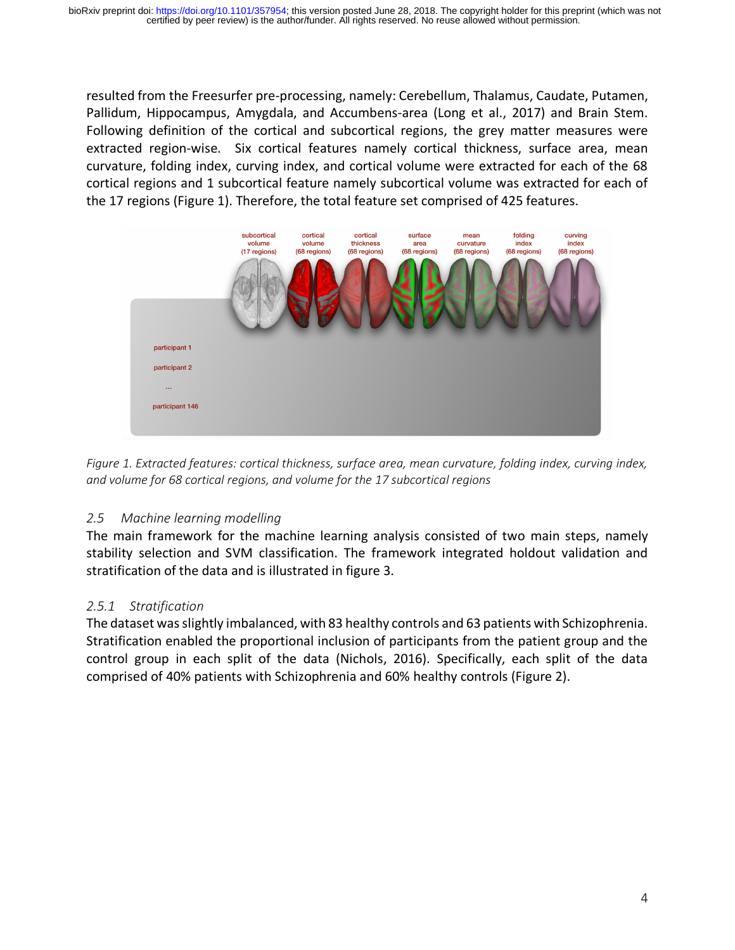resulted from the Freesurfer pre-processing, namely: Cerebellum, Thalamus, Caudate, Putamen, Pallidum, Hippocampus, Amygdala, and Accumbens-area (Long et al., 2017) and Brain Stem. Following definition of the cortical and subcortical regions, the grey matter measures were extracted region-wise. Six cortical features namely cortical thickness, surface area, mean curvature, folding index, curving index, and cortical volume were extracted for each of the 68 cortical regions and 1 subcortical feature namely subcortical volume was extracted for each of the 17 regions (Figure 1). Therefore, the total feature set comprised of 425 features.



*Figure 1. Extracted features: cortical thickness, surface area, mean curvature, folding index, curving index, and volume for 68 cortical regions, and volume for the 17 subcortical regions*

## *2.5 Machine learning modelling*

The main framework for the machine learning analysis consisted of two main steps, namely stability selection and SVM classification. The framework integrated holdout validation and stratification of the data and is illustrated in figure 3.

## *2.5.1 Stratification*

The dataset was slightly imbalanced, with 83 healthy controls and 63 patients with Schizophrenia. Stratification enabled the proportional inclusion of participants from the patient group and the control group in each split of the data (Nichols, 2016). Specifically, each split of the data comprised of 40% patients with Schizophrenia and 60% healthy controls (Figure 2).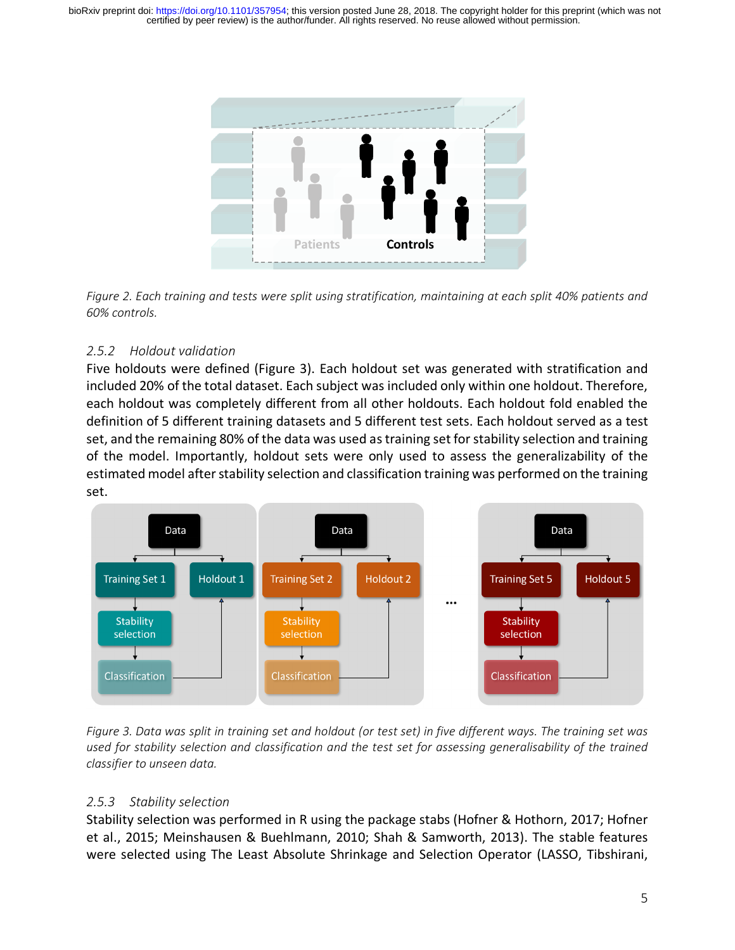certified by peer review) is the author/funder. All rights reserved. No reuse allowed without permission. bioRxiv preprint doi: [https://doi.org/10.1101/357954;](https://doi.org/10.1101/357954) this version posted June 28, 2018. The copyright holder for this preprint (which was not



*Figure 2. Each training and tests were split using stratification, maintaining at each split 40% patients and 60% controls.*

#### *2.5.2 Holdout validation*

Five holdouts were defined (Figure 3). Each holdout set was generated with stratification and included 20% of the total dataset. Each subject was included only within one holdout. Therefore, each holdout was completely different from all other holdouts. Each holdout fold enabled the definition of 5 different training datasets and 5 different test sets. Each holdout served as a test set, and the remaining 80% of the data was used as training set for stability selection and training of the model. Importantly, holdout sets were only used to assess the generalizability of the estimated model after stability selection and classification training was performed on the training set.



*Figure 3. Data was split in training set and holdout (or test set) in five different ways. The training set was used for stability selection and classification and the test set for assessing generalisability of the trained classifier to unseen data.* 

#### *2.5.3 Stability selection*

Stability selection was performed in R using the package stabs (Hofner & Hothorn, 2017; Hofner et al., 2015; Meinshausen & Buehlmann, 2010; Shah & Samworth, 2013). The stable features were selected using The Least Absolute Shrinkage and Selection Operator (LASSO, Tibshirani,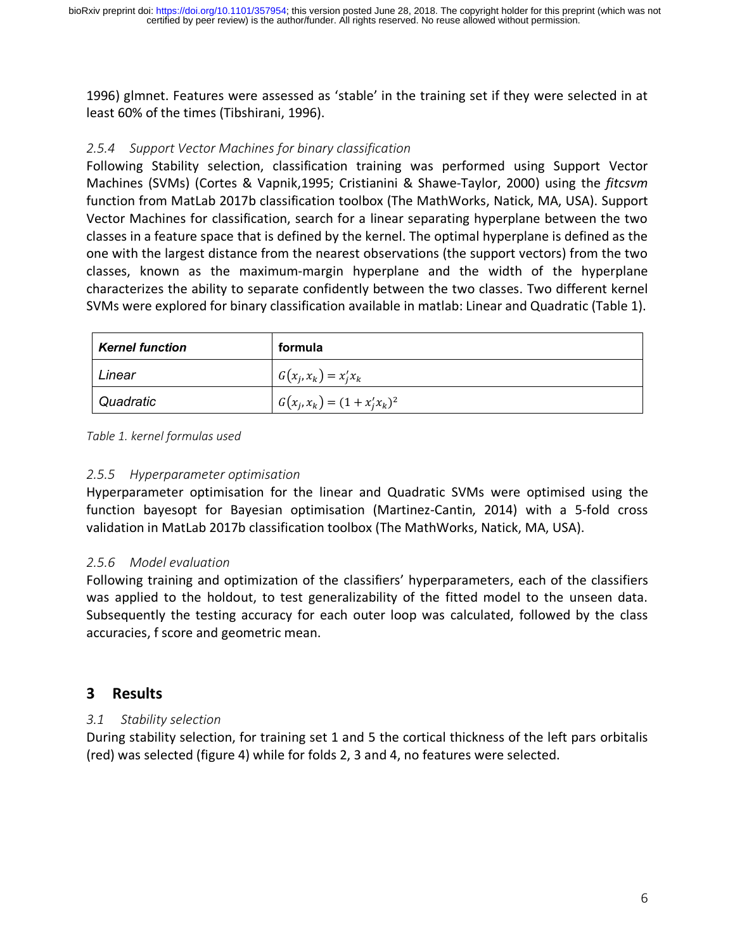1996) glmnet. Features were assessed as 'stable' in the training set if they were selected in at least 60% of the times (Tibshirani, 1996).

### *2.5.4 Support Vector Machines for binary classification*

Following Stability selection, classification training was performed using Support Vector Machines (SVMs) (Cortes & Vapnik,1995; Cristianini & Shawe-Taylor, 2000) using the *fitcsvm* function from MatLab 2017b classification toolbox (The MathWorks, Natick, MA, USA). Support Vector Machines for classification, search for a linear separating hyperplane between the two classes in a feature space that is defined by the kernel. The optimal hyperplane is defined as the one with the largest distance from the nearest observations (the support vectors) from the two classes, known as the maximum-margin hyperplane and the width of the hyperplane characterizes the ability to separate confidently between the two classes. Two different kernel SVMs were explored for binary classification available in matlab: Linear and Quadratic (Table 1).

| <b>Kernel function</b> | formula                          |  |
|------------------------|----------------------------------|--|
| Linear                 | $G(x_i, x_k) = x_i^{\prime} x_k$ |  |
| Quadratic              | $G(x_i, x_k) = (1 + x'_i x_k)^2$ |  |

*Table 1. kernel formulas used*

### *2.5.5 Hyperparameter optimisation*

Hyperparameter optimisation for the linear and Quadratic SVMs were optimised using the function bayesopt for Bayesian optimisation (Martinez-Cantin, 2014) with a 5-fold cross validation in MatLab 2017b classification toolbox (The MathWorks, Natick, MA, USA).

#### *2.5.6 Model evaluation*

Following training and optimization of the classifiers' hyperparameters, each of the classifiers was applied to the holdout, to test generalizability of the fitted model to the unseen data. Subsequently the testing accuracy for each outer loop was calculated, followed by the class accuracies, f score and geometric mean.

# **3 Results**

## *3.1 Stability selection*

During stability selection, for training set 1 and 5 the cortical thickness of the left pars orbitalis (red) was selected (figure 4) while for folds 2, 3 and 4, no features were selected.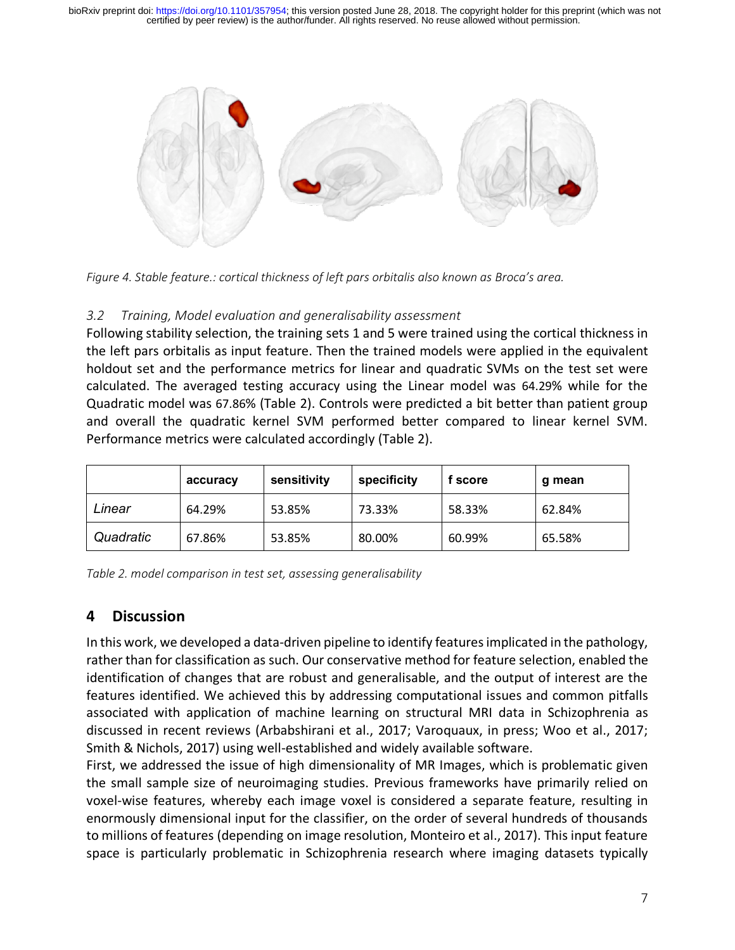certified by peer review) is the author/funder. All rights reserved. No reuse allowed without permission. bioRxiv preprint doi: [https://doi.org/10.1101/357954;](https://doi.org/10.1101/357954) this version posted June 28, 2018. The copyright holder for this preprint (which was not



*Figure 4. Stable feature.: cortical thickness of left pars orbitalis also known as Broca's area.* 

### *3.2 Training, Model evaluation and generalisability assessment*

Following stability selection, the training sets 1 and 5 were trained using the cortical thickness in the left pars orbitalis as input feature. Then the trained models were applied in the equivalent holdout set and the performance metrics for linear and quadratic SVMs on the test set were calculated. The averaged testing accuracy using the Linear model was 64.29% while for the Quadratic model was 67.86% (Table 2). Controls were predicted a bit better than patient group and overall the quadratic kernel SVM performed better compared to linear kernel SVM. Performance metrics were calculated accordingly (Table 2).

|           | accuracy | sensitivity | specificity | f score | g mean |
|-----------|----------|-------------|-------------|---------|--------|
| Linear    | 64.29%   | 53.85%      | 73.33%      | 58.33%  | 62.84% |
| Quadratic | 67.86%   | 53.85%      | 80.00%      | 60.99%  | 65.58% |

*Table 2. model comparison in test set, assessing generalisability*

# **4 Discussion**

In this work, we developed a data-driven pipeline to identify features implicated in the pathology, rather than for classification as such. Our conservative method for feature selection, enabled the identification of changes that are robust and generalisable, and the output of interest are the features identified. We achieved this by addressing computational issues and common pitfalls associated with application of machine learning on structural MRI data in Schizophrenia as discussed in recent reviews (Arbabshirani et al., 2017; Varoquaux, in press; Woo et al., 2017; Smith & Nichols, 2017) using well-established and widely available software.

First, we addressed the issue of high dimensionality of MR Images, which is problematic given the small sample size of neuroimaging studies. Previous frameworks have primarily relied on voxel-wise features, whereby each image voxel is considered a separate feature, resulting in enormously dimensional input for the classifier, on the order of several hundreds of thousands to millions of features (depending on image resolution, Monteiro et al., 2017). This input feature space is particularly problematic in Schizophrenia research where imaging datasets typically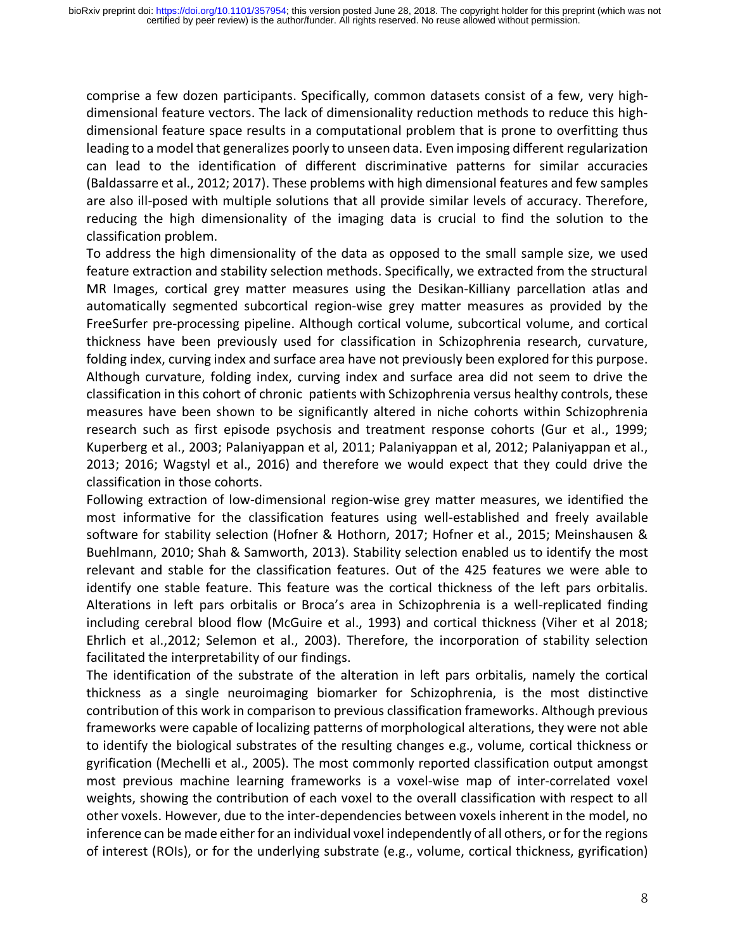comprise a few dozen participants. Specifically, common datasets consist of a few, very highdimensional feature vectors. The lack of dimensionality reduction methods to reduce this highdimensional feature space results in a computational problem that is prone to overfitting thus leading to a model that generalizes poorly to unseen data. Even imposing different regularization can lead to the identification of different discriminative patterns for similar accuracies (Baldassarre et al., 2012; 2017). These problems with high dimensional features and few samples are also ill-posed with multiple solutions that all provide similar levels of accuracy. Therefore, reducing the high dimensionality of the imaging data is crucial to find the solution to the classification problem.

To address the high dimensionality of the data as opposed to the small sample size, we used feature extraction and stability selection methods. Specifically, we extracted from the structural MR Images, cortical grey matter measures using the Desikan-Killiany parcellation atlas and automatically segmented subcortical region-wise grey matter measures as provided by the FreeSurfer pre-processing pipeline. Although cortical volume, subcortical volume, and cortical thickness have been previously used for classification in Schizophrenia research, curvature, folding index, curving index and surface area have not previously been explored for this purpose. Although curvature, folding index, curving index and surface area did not seem to drive the classification in this cohort of chronic patients with Schizophrenia versus healthy controls, these measures have been shown to be significantly altered in niche cohorts within Schizophrenia research such as first episode psychosis and treatment response cohorts (Gur et al., 1999; Kuperberg et al., 2003; Palaniyappan et al, 2011; Palaniyappan et al, 2012; Palaniyappan et al., 2013; 2016; Wagstyl et al., 2016) and therefore we would expect that they could drive the classification in those cohorts.

Following extraction of low-dimensional region-wise grey matter measures, we identified the most informative for the classification features using well-established and freely available software for stability selection (Hofner & Hothorn, 2017; Hofner et al., 2015; Meinshausen & Buehlmann, 2010; Shah & Samworth, 2013). Stability selection enabled us to identify the most relevant and stable for the classification features. Out of the 425 features we were able to identify one stable feature. This feature was the cortical thickness of the left pars orbitalis. Alterations in left pars orbitalis or Broca's area in Schizophrenia is a well-replicated finding including cerebral blood flow (McGuire et al., 1993) and cortical thickness (Viher et al 2018; Ehrlich et al.,2012; Selemon et al., 2003). Therefore, the incorporation of stability selection facilitated the interpretability of our findings.

The identification of the substrate of the alteration in left pars orbitalis, namely the cortical thickness as a single neuroimaging biomarker for Schizophrenia, is the most distinctive contribution of this work in comparison to previous classification frameworks. Although previous frameworks were capable of localizing patterns of morphological alterations, they were not able to identify the biological substrates of the resulting changes e.g., volume, cortical thickness or gyrification (Mechelli et al., 2005). The most commonly reported classification output amongst most previous machine learning frameworks is a voxel-wise map of inter-correlated voxel weights, showing the contribution of each voxel to the overall classification with respect to all other voxels. However, due to the inter-dependencies between voxels inherent in the model, no inference can be made either for an individual voxel independently of all others, or for the regions of interest (ROIs), or for the underlying substrate (e.g., volume, cortical thickness, gyrification)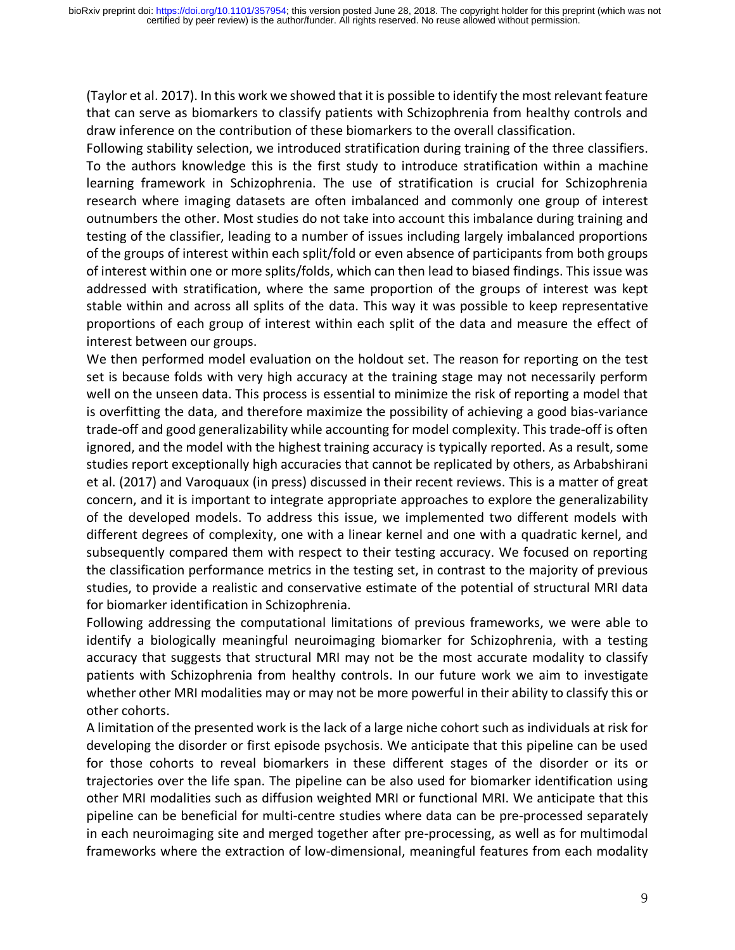(Taylor et al. 2017). In this work we showed that it is possible to identify the most relevant feature that can serve as biomarkers to classify patients with Schizophrenia from healthy controls and draw inference on the contribution of these biomarkers to the overall classification.

Following stability selection, we introduced stratification during training of the three classifiers. To the authors knowledge this is the first study to introduce stratification within a machine learning framework in Schizophrenia. The use of stratification is crucial for Schizophrenia research where imaging datasets are often imbalanced and commonly one group of interest outnumbers the other. Most studies do not take into account this imbalance during training and testing of the classifier, leading to a number of issues including largely imbalanced proportions of the groups of interest within each split/fold or even absence of participants from both groups of interest within one or more splits/folds, which can then lead to biased findings. This issue was addressed with stratification, where the same proportion of the groups of interest was kept stable within and across all splits of the data. This way it was possible to keep representative proportions of each group of interest within each split of the data and measure the effect of interest between our groups.

We then performed model evaluation on the holdout set. The reason for reporting on the test set is because folds with very high accuracy at the training stage may not necessarily perform well on the unseen data. This process is essential to minimize the risk of reporting a model that is overfitting the data, and therefore maximize the possibility of achieving a good bias-variance trade-off and good generalizability while accounting for model complexity. This trade-off is often ignored, and the model with the highest training accuracy is typically reported. As a result, some studies report exceptionally high accuracies that cannot be replicated by others, as Arbabshirani et al. (2017) and Varoquaux (in press) discussed in their recent reviews. This is a matter of great concern, and it is important to integrate appropriate approaches to explore the generalizability of the developed models. To address this issue, we implemented two different models with different degrees of complexity, one with a linear kernel and one with a quadratic kernel, and subsequently compared them with respect to their testing accuracy. We focused on reporting the classification performance metrics in the testing set, in contrast to the majority of previous studies, to provide a realistic and conservative estimate of the potential of structural MRI data for biomarker identification in Schizophrenia.

Following addressing the computational limitations of previous frameworks, we were able to identify a biologically meaningful neuroimaging biomarker for Schizophrenia, with a testing accuracy that suggests that structural MRI may not be the most accurate modality to classify patients with Schizophrenia from healthy controls. In our future work we aim to investigate whether other MRI modalities may or may not be more powerful in their ability to classify this or other cohorts.

A limitation of the presented work is the lack of a large niche cohort such as individuals at risk for developing the disorder or first episode psychosis. We anticipate that this pipeline can be used for those cohorts to reveal biomarkers in these different stages of the disorder or its or trajectories over the life span. The pipeline can be also used for biomarker identification using other MRI modalities such as diffusion weighted MRI or functional MRI. We anticipate that this pipeline can be beneficial for multi-centre studies where data can be pre-processed separately in each neuroimaging site and merged together after pre-processing, as well as for multimodal frameworks where the extraction of low-dimensional, meaningful features from each modality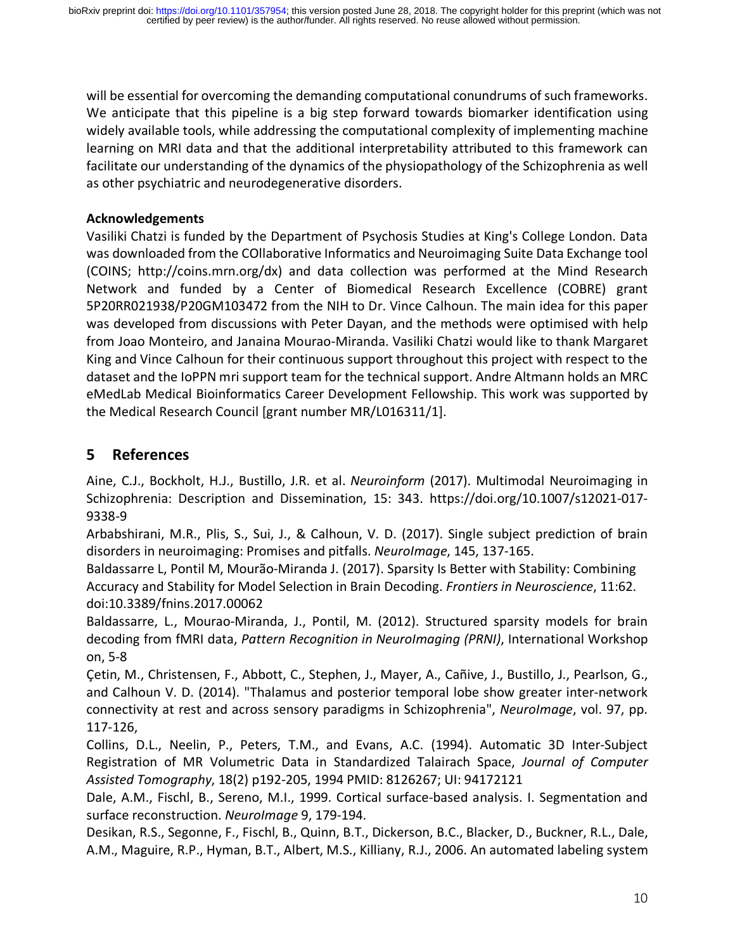will be essential for overcoming the demanding computational conundrums of such frameworks. We anticipate that this pipeline is a big step forward towards biomarker identification using widely available tools, while addressing the computational complexity of implementing machine learning on MRI data and that the additional interpretability attributed to this framework can facilitate our understanding of the dynamics of the physiopathology of the Schizophrenia as well as other psychiatric and neurodegenerative disorders.

#### **Acknowledgements**

Vasiliki Chatzi is funded by the Department of Psychosis Studies at King's College London. Data was downloaded from the COllaborative Informatics and Neuroimaging Suite Data Exchange tool (COINS; http://coins.mrn.org/dx) and data collection was performed at the Mind Research Network and funded by a Center of Biomedical Research Excellence (COBRE) grant 5P20RR021938/P20GM103472 from the NIH to Dr. Vince Calhoun. The main idea for this paper was developed from discussions with Peter Dayan, and the methods were optimised with help from Joao Monteiro, and Janaina Mourao-Miranda. Vasiliki Chatzi would like to thank Margaret King and Vince Calhoun for their continuous support throughout this project with respect to the dataset and the IoPPN mri support team for the technical support. Andre Altmann holds an MRC eMedLab Medical Bioinformatics Career Development Fellowship. This work was supported by the Medical Research Council [grant number MR/L016311/1].

# **5 References**

Aine, C.J., Bockholt, H.J., Bustillo, J.R. et al. *Neuroinform* (2017). Multimodal Neuroimaging in Schizophrenia: Description and Dissemination, 15: 343. https://doi.org/10.1007/s12021-017- 9338-9

Arbabshirani, M.R., Plis, S., Sui, J., & Calhoun, V. D. (2017). Single subject prediction of brain disorders in neuroimaging: Promises and pitfalls. *NeuroImage*, 145, 137-165.

Baldassarre L, Pontil M, Mourão-Miranda J. (2017). Sparsity Is Better with Stability: Combining Accuracy and Stability for Model Selection in Brain Decoding. *Frontiers in Neuroscience*, 11:62. doi:10.3389/fnins.2017.00062

Baldassarre, L., Mourao-Miranda, J., Pontil, M. (2012). Structured sparsity models for brain decoding from fMRI data, *Pattern Recognition in NeuroImaging (PRNI)*, International Workshop on, 5-8

Çetin, M., Christensen, F., Abbott, C., Stephen, J., Mayer, A., Cañive, J., Bustillo, J., Pearlson, G., and Calhoun V. D. (2014). "Thalamus and posterior temporal lobe show greater inter-network connectivity at rest and across sensory paradigms in Schizophrenia", *NeuroImage*, vol. 97, pp. 117-126,

Collins, D.L., Neelin, P., Peters, T.M., and Evans, A.C. (1994). Automatic 3D Inter-Subject Registration of MR Volumetric Data in Standardized Talairach Space, *Journal of Computer Assisted Tomography*, 18(2) p192-205, 1994 PMID: 8126267; UI: 94172121

Dale, A.M., Fischl, B., Sereno, M.I., 1999. Cortical surface-based analysis. I. Segmentation and surface reconstruction. *NeuroImage* 9, 179-194.

Desikan, R.S., Segonne, F., Fischl, B., Quinn, B.T., Dickerson, B.C., Blacker, D., Buckner, R.L., Dale, A.M., Maguire, R.P., Hyman, B.T., Albert, M.S., Killiany, R.J., 2006. An automated labeling system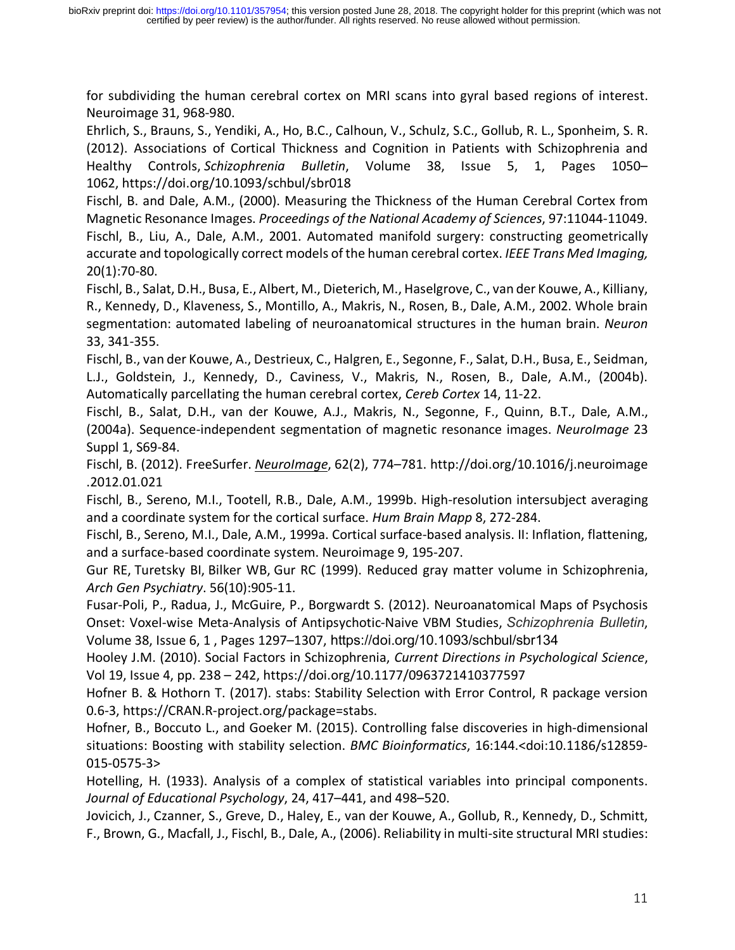for subdividing the human cerebral cortex on MRI scans into gyral based regions of interest. Neuroimage 31, 968-980.

Ehrlich, S., Brauns, S., Yendiki, A., Ho, B.C., Calhoun, V., Schulz, S.C., Gollub, R. L., Sponheim, S. R. (2012). Associations of Cortical Thickness and Cognition in Patients with Schizophrenia and Healthy Controls, *Schizophrenia Bulletin*, Volume 38, Issue 5, 1, Pages 1050– 1062, https://doi.org/10.1093/schbul/sbr018

Fischl, B. and Dale, A.M., (2000). Measuring the Thickness of the Human Cerebral Cortex from Magnetic Resonance Images. *Proceedings of the National Academy of Sciences*, 97:11044-11049. Fischl, B., Liu, A., Dale, A.M., 2001. Automated manifold surgery: constructing geometrically accurate and topologically correct models of the human cerebral cortex. *IEEE Trans Med Imaging,*  20(1):70-80.

Fischl, B., Salat, D.H., Busa, E., Albert, M., Dieterich, M., Haselgrove, C., van der Kouwe, A., Killiany, R., Kennedy, D., Klaveness, S., Montillo, A., Makris, N., Rosen, B., Dale, A.M., 2002. Whole brain segmentation: automated labeling of neuroanatomical structures in the human brain. *Neuron* 33, 341-355.

Fischl, B., van der Kouwe, A., Destrieux, C., Halgren, E., Segonne, F., Salat, D.H., Busa, E., Seidman, L.J., Goldstein, J., Kennedy, D., Caviness, V., Makris, N., Rosen, B., Dale, A.M., (2004b). Automatically parcellating the human cerebral cortex, *Cereb Cortex* 14, 11-22.

Fischl, B., Salat, D.H., van der Kouwe, A.J., Makris, N., Segonne, F., Quinn, B.T., Dale, A.M., (2004a). Sequence-independent segmentation of magnetic resonance images. *NeuroImage* 23 Suppl 1, S69-84.

Fischl, B. (2012). FreeSurfer. *NeuroImage*, 62(2), 774–781. http://doi.org/10.1016/j.neuroimage .2012.01.021

Fischl, B., Sereno, M.I., Tootell, R.B., Dale, A.M., 1999b. High-resolution intersubject averaging and a coordinate system for the cortical surface. *Hum Brain Mapp* 8, 272-284.

Fischl, B., Sereno, M.I., Dale, A.M., 1999a. Cortical surface-based analysis. II: Inflation, flattening, and a surface-based coordinate system. Neuroimage 9, 195-207.

Gur RE, Turetsky BI, Bilker WB, Gur RC (1999). Reduced gray matter volume in Schizophrenia, *Arch Gen Psychiatry*. 56(10):905-11.

Fusar-Poli, P., Radua, J., McGuire, P., Borgwardt S. (2012). Neuroanatomical Maps of Psychosis Onset: Voxel-wise Meta-Analysis of Antipsychotic-Naive VBM Studies, *Schizophrenia Bulletin*, Volume 38, Issue 6, 1 , Pages 1297–1307, https://doi.org/10.1093/schbul/sbr134

Hooley J.M. (2010). Social Factors in Schizophrenia, *Current Directions in Psychological Science*, Vol 19, Issue 4, pp. 238 – 242, https://doi.org/10.1177/0963721410377597

Hofner B. & Hothorn T. (2017). stabs: Stability Selection with Error Control, R package version 0.6-3, https://CRAN.R-project.org/package=stabs.

Hofner, B., Boccuto L., and Goeker M. (2015). Controlling false discoveries in high-dimensional situations: Boosting with stability selection. *BMC Bioinformatics*, 16:144.<doi:10.1186/s12859- 015-0575-3>

Hotelling, H. (1933). Analysis of a complex of statistical variables into principal components. *Journal of Educational Psychology*, 24, 417–441, and 498–520.

Jovicich, J., Czanner, S., Greve, D., Haley, E., van der Kouwe, A., Gollub, R., Kennedy, D., Schmitt, F., Brown, G., Macfall, J., Fischl, B., Dale, A., (2006). Reliability in multi-site structural MRI studies: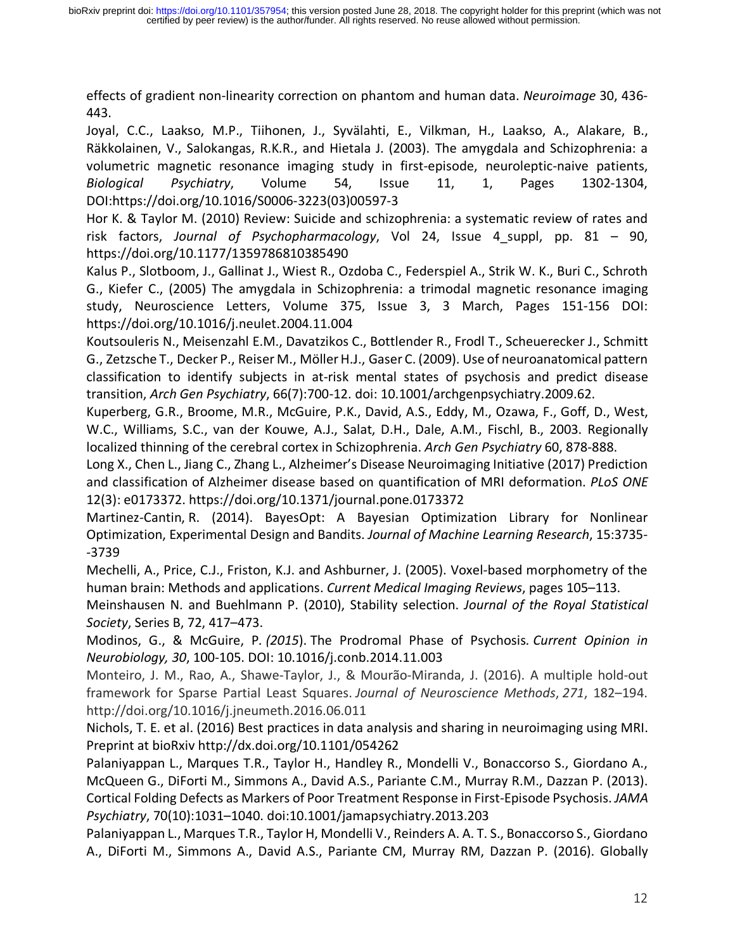effects of gradient non-linearity correction on phantom and human data. *Neuroimage* 30, 436- 443.

Joyal, C.C., Laakso, M.P., Tiihonen, J., Syvälahti, E., Vilkman, H., Laakso, A., Alakare, B., Räkkolainen, V., Salokangas, R.K.R., and Hietala J. (2003). The amygdala and Schizophrenia: a volumetric magnetic resonance imaging study in first-episode, neuroleptic-naive patients, *Biological Psychiatry*, Volume 54, Issue 11, 1, Pages 1302-1304, DOI:https://doi.org/10.1016/S0006-3223(03)00597-3

Hor K. & Taylor M. (2010) Review: Suicide and schizophrenia: a systematic review of rates and risk factors, *Journal of Psychopharmacology*, Vol 24, Issue 4\_suppl, pp. 81 – 90, https://doi.org/10.1177/1359786810385490

Kalus P., Slotboom, J., Gallinat J., Wiest R., Ozdoba C., Federspiel A., Strik W. K., Buri C., Schroth G., Kiefer C., (2005) The amygdala in Schizophrenia: a trimodal magnetic resonance imaging study, Neuroscience Letters, Volume 375, Issue 3, 3 March, Pages 151-156 DOI: https://doi.org/10.1016/j.neulet.2004.11.004

Koutsouleris N., Meisenzahl E.M., Davatzikos C., Bottlender R., Frodl T., Scheuerecker J., Schmitt G., Zetzsche T., Decker P., Reiser M., Möller H.J., Gaser C. (2009). Use of neuroanatomical pattern classification to identify subjects in at-risk mental states of psychosis and predict disease transition, *Arch Gen Psychiatry*, 66(7):700-12. doi: 10.1001/archgenpsychiatry.2009.62.

Kuperberg, G.R., Broome, M.R., McGuire, P.K., David, A.S., Eddy, M., Ozawa, F., Goff, D., West, W.C., Williams, S.C., van der Kouwe, A.J., Salat, D.H., Dale, A.M., Fischl, B., 2003. Regionally localized thinning of the cerebral cortex in Schizophrenia. *Arch Gen Psychiatry* 60, 878-888.

Long X., Chen L., Jiang C., Zhang L., Alzheimer's Disease Neuroimaging Initiative (2017) Prediction and classification of Alzheimer disease based on quantification of MRI deformation. *PLoS ONE* 12(3): e0173372. https://doi.org/10.1371/journal.pone.0173372

Martinez-Cantin, R. (2014). BayesOpt: A Bayesian Optimization Library for Nonlinear Optimization, Experimental Design and Bandits. *Journal of Machine Learning Research*, 15:3735- -3739

Mechelli, A., Price, C.J., Friston, K.J. and Ashburner, J. (2005). Voxel-based morphometry of the human brain: Methods and applications. *Current Medical Imaging Reviews*, pages 105–113.

Meinshausen N. and Buehlmann P. (2010), Stability selection. *Journal of the Royal Statistical Society*, Series B, 72, 417–473.

Modinos, G., & McGuire, P*. (2015*). The Prodromal Phase of Psychosis*. Current Opinion in Neurobiology, 30*, 100-105. DOI: 10.1016/j.conb.2014.11.003

Monteiro, J. M., Rao, A., Shawe-Taylor, J., & Mourão-Miranda, J. (2016). A multiple hold-out framework for Sparse Partial Least Squares. *Journal of Neuroscience Methods*, *271*, 182–194. http://doi.org/10.1016/j.jneumeth.2016.06.011

Nichols, T. E. et al. (2016) Best practices in data analysis and sharing in neuroimaging using MRI. Preprint at bioRxiv http://dx.doi.org/10.1101/054262

Palaniyappan L., Marques T.R., Taylor H., Handley R., Mondelli V., Bonaccorso S., Giordano A., McQueen G., DiForti M., Simmons A., David A.S., Pariante C.M., Murray R.M., Dazzan P. (2013). Cortical Folding Defects as Markers of Poor Treatment Response in First-Episode Psychosis. *JAMA Psychiatry*, 70(10):1031–1040. doi:10.1001/jamapsychiatry.2013.203

Palaniyappan L., Marques T.R., Taylor H, Mondelli V., Reinders A. A. T. S., Bonaccorso S., Giordano A., DiForti M., Simmons A., David A.S., Pariante CM, Murray RM, Dazzan P. (2016). Globally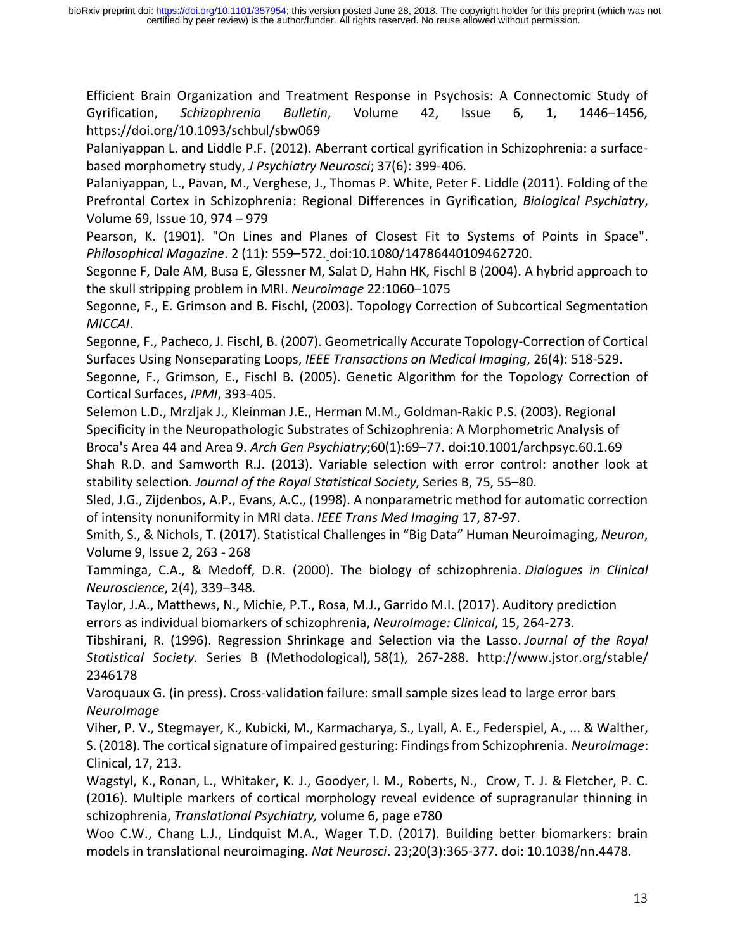Efficient Brain Organization and Treatment Response in Psychosis: A Connectomic Study of Gyrification, *Schizophrenia Bulletin*, Volume 42, Issue 6, 1, 1446–1456, https://doi.org/10.1093/schbul/sbw069

Palaniyappan L. and Liddle P.F. (2012). Aberrant cortical gyrification in Schizophrenia: a surfacebased morphometry study, *J Psychiatry Neurosci*; 37(6): 399-406.

Palaniyappan, L., Pavan, M., Verghese, J., Thomas P. White, Peter F. Liddle (2011). Folding of the Prefrontal Cortex in Schizophrenia: Regional Differences in Gyrification, *Biological Psychiatry*, Volume 69, Issue 10, 974 – 979

Pearson, K. (1901). "On Lines and Planes of Closest Fit to Systems of Points in Space". *Philosophical Magazine*. 2 (11): 559–572. doi:10.1080/14786440109462720.

Segonne F, Dale AM, Busa E, Glessner M, Salat D, Hahn HK, Fischl B (2004). A hybrid approach to the skull stripping problem in MRI. *Neuroimage* 22:1060–1075

Segonne, F., E. Grimson and B. Fischl, (2003). Topology Correction of Subcortical Segmentation *MICCAI*.

Segonne, F., Pacheco, J. Fischl, B. (2007). Geometrically Accurate Topology-Correction of Cortical Surfaces Using Nonseparating Loops, *IEEE Transactions on Medical Imaging*, 26(4): 518-529.

Segonne, F., Grimson, E., Fischl B. (2005). Genetic Algorithm for the Topology Correction of Cortical Surfaces, *IPMI*, 393-405.

Selemon L.D., Mrzljak J., Kleinman J.E., Herman M.M., Goldman-Rakic P.S. (2003). Regional Specificity in the Neuropathologic Substrates of Schizophrenia: A Morphometric Analysis of Broca's Area 44 and Area 9. *Arch Gen Psychiatry*;60(1):69–77. doi:10.1001/archpsyc.60.1.69

Shah R.D. and Samworth R.J. (2013). Variable selection with error control: another look at stability selection. *Journal of the Royal Statistical Society*, Series B, 75, 55–80.

Sled, J.G., Zijdenbos, A.P., Evans, A.C., (1998). A nonparametric method for automatic correction of intensity nonuniformity in MRI data. *IEEE Trans Med Imaging* 17, 87-97.

Smith, S., & Nichols, T. (2017). Statistical Challenges in "Big Data" Human Neuroimaging, *Neuron*, Volume 9, Issue 2, 263 - 268

Tamminga, C.A., & Medoff, D.R. (2000). The biology of schizophrenia. *Dialogues in Clinical Neuroscience*, 2(4), 339–348.

Taylor, J.A., Matthews, N., Michie, P.T., Rosa, M.J., Garrido M.I. (2017). Auditory prediction errors as individual biomarkers of schizophrenia, *NeuroImage: Clinical*, 15, 264-273.

Tibshirani, R. (1996). Regression Shrinkage and Selection via the Lasso. *Journal of the Royal Statistical Society.* Series B (Methodological), 58(1), 267-288. http://www.jstor.org/stable/ 2346178

Varoquaux G. (in press). Cross-validation failure: small sample sizes lead to large error bars *NeuroImage*

Viher, P. V., Stegmayer, K., Kubicki, M., Karmacharya, S., Lyall, A. E., Federspiel, A., ... & Walther, S. (2018). The cortical signature of impaired gesturing: Findings from Schizophrenia. *NeuroImage*: Clinical, 17, 213.

Wagstyl, K., Ronan, L., Whitaker, K. J., Goodyer, I. M., Roberts, N., Crow, T. J. & Fletcher, P. C. (2016). Multiple markers of cortical morphology reveal evidence of supragranular thinning in schizophrenia, *Translational Psychiatry,* volume 6, page e780

Woo C.W., Chang L.J., Lindquist M.A., Wager T.D. (2017). Building better biomarkers: brain models in translational neuroimaging. *Nat Neurosci*. 23;20(3):365-377. doi: 10.1038/nn.4478.